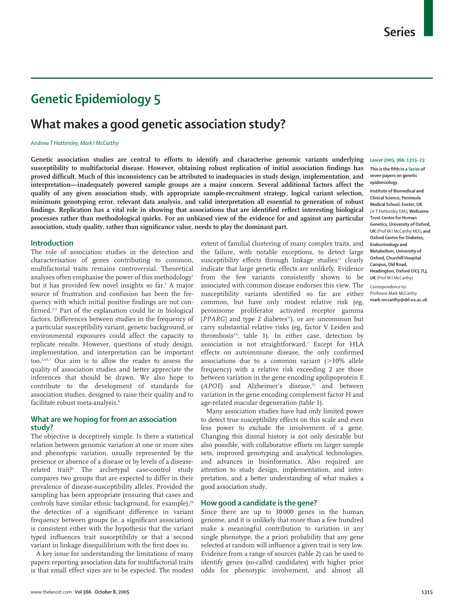# **Genetic Epidemiology 5**

# **What makes a good genetic association study?**

## *Andrew T Hattersley, Mark I McCarthy*

**Genetic association studies are central to efforts to identify and characterise genomic variants underlying susceptibility to multifactorial disease. However, obtaining robust replication of initial association findings has proved difficult. Much of this inconsistency can be attributed to inadequacies in study design, implementation, and interpretation—inadequately powered sample groups are a major concern. Several additional factors affect the quality of any given association study, with appropriate sample-recruitment strategy, logical variant selection, minimum genotyping error, relevant data analysis, and valid interpretation all essential to generation of robust findings. Replication has a vital role in showing that associations that are identified reflect interesting biological processes rather than methodological quirks. For an unbiased view of the evidence for and against any particular association, study quality, rather than significance value, needs to play the dominant part.** 

#### **Introduction**

The role of association studies in the detection and characterisation of genes contributing to common, multifactorial traits remains controversial. Theoretical analyses often emphasise the power of this methodology<sup>1</sup> but it has provided few novel insights so far.<sup>2</sup> A major source of frustration and confusion has been the frequency with which initial positive findings are not confirmed.2–5 Part of the explanation could lie in biological factors. Differences between studies in the frequency of a particular susceptibility variant, genetic background, or environmental exposures could affect the capacity to replicate results. However, questions of study design, implementation, and interpretation can be important too.3,4,6,7 Our aim is to allow the reader to assess the quality of association studies and better appreciate the inferences that should be drawn. We also hope to contribute to the development of standards for association studies, designed to raise their quality and to facilitate robust meta-analysis.<sup>8</sup>

# **What are we hoping for from an association study?**

The objective is deceptively simple. Is there a statistical relation between genomic variation at one or more sites and phenotypic variation, usually represented by the presence or absence of a disease or by levels of a diseaserelated trait?9 The archetypal case-control study compares two groups that are expected to differ in their prevalence of disease-susceptibility alleles. Provided the sampling has been appropriate (ensuring that cases and controls have similar ethnic background, for example),<sup>10</sup> the detection of a significant difference in variant frequency between groups (ie, a significant association) is consistent either with the hypothesis that the variant typed influences trait susceptibility or that a second variant in linkage disequilibrium with the first does so.

A key issue for understanding the limitations of many papers reporting association data for multifactorial traits is that small effect sizes are to be expected. The modest

extent of familial clustering of many complex traits, and the failure, with notable exceptions, to detect large susceptibility effects through linkage studies<sup>11</sup> clearly indicate that large genetic effects are unlikely. Evidence from the few variants consistently shown to be associated with common disease endorses this view. The susceptibility variants identified so far are either common, but have only modest relative risk (eg, peroxisome proliferator activated receptor gamma [*PPARG*] and type 2 diabetes<sup>12</sup>], or are uncommon but carry substantial relative risks (eg, factor V Leiden and thrombosis<sup>13</sup>; table 1). In either case, detection by association is not straightforward.<sup>1</sup> Except for HLA effects on autoimmune disease, the only confirmed associations due to a common variant  $(>10\%$  allele frequency) with a relative risk exceeding 2 are those between variation in the gene encoding apolipoprotein E (APOE) and Alzheimer's disease,<sup>15</sup> and between variation in the gene encoding complement factor H and age-related macular degeneration (table 1).

Many association studies have had only limited power to detect true susceptibility effects on this scale and even less power to exclude the involvement of a gene. Changing this dismal history is not only desirable but also possible, with collaborative efforts on larger sample sets, improved genotyping and analytical technologies, and advances in bioinformatics. Also required are attention to study design, implementation, and interpretation, and a better understanding of what makes a good association study.

#### **How good a candidate is the gene?**

Since there are up to 30 000 genes in the human genome, and it is unlikely that more than a few hundred make a meaningful contribution to variation in any single phenotype, the a priori probability that any gene selected at random will influence a given trait is very low. Evidence from a range of sources (table 2) can be used to identify genes (so-called candidates) with higher prior odds for phenotypic involvement, and almost all

#### *Lancet* **2005; 366: 1315–23**

**This is the fifth in a Series of seven papers on genetic epidemiology. Institute of Biomedical and**

**Clinical Science, Peninsula Medical School, Exeter, UK**  (A T Hattersley DM)**; Wellcome Trust Centre for Human Genetics, University of Oxford, UK** (Prof M I McCarthy MD)**; and Oxford Centre for Diabetes, Endocrinology and Metabolism, University of Oxford, Churchill Hospital Campus, Old Road, Headington, Oxford OX3 7LJ, UK** (Prof M I McCarthy)

Correspondence to: Professor Mark McCarthy **mark.mccarthy@drl.ox.ac.uk**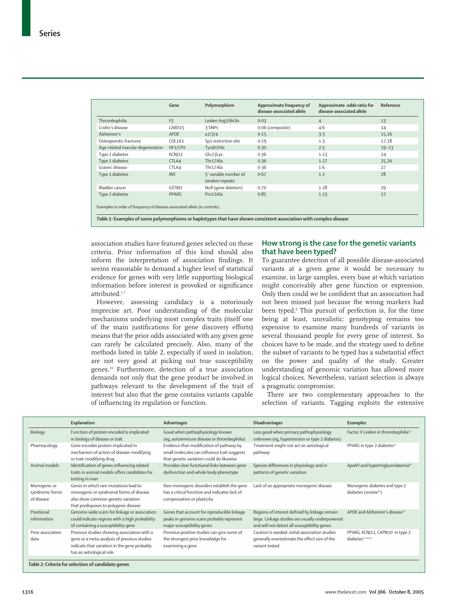|                                  | Gene           | Polymorphism                            | Approximate frequency of<br>disease-associated allele | Approximate odds ratio for<br>disease-associated allele | Reference |
|----------------------------------|----------------|-----------------------------------------|-------------------------------------------------------|---------------------------------------------------------|-----------|
| Thrombophilia                    | F <sub>5</sub> | Leiden Arg506Gln                        | 0.03                                                  | $\overline{4}$                                          | 13        |
| Crohn's disease                  | CARD15         | 3 SNPs                                  | 0.06 (composite)                                      | $4-6$                                                   | 14        |
| Alzheimer's                      | APOE           | e2/3/4                                  | 0.15                                                  | 3.3                                                     | 15,16     |
| Osteoporotic fractures           | COL1A1         | Sp1 restriction site                    | 0.19                                                  | 1.3                                                     | 17,18     |
| Age-related macular degeneration | HF1/CFH        | Tyr402His                               | 0.30                                                  | 2.5                                                     | $19 - 23$ |
| Type 2 diabetes                  | KCNJ11         | Glu23Lys                                | 0.36                                                  | 1.23                                                    | 24        |
| Type 1 diabetes                  | CTLA4          | Thr17Ala                                | 0.36                                                  | 1.27                                                    | 25,26     |
| Graves' disease                  | CTLA4          | Thr17Ala                                | 0.36                                                  | 1.6                                                     | 27        |
| Type 1 diabetes                  | <b>INS</b>     | 5' variable number of<br>tandem repeats | 0.67                                                  | $1-2$                                                   | 28        |
| Bladder cancer                   | GSTM1          | Null (gene deletion)                    | 0.70                                                  | 1.28                                                    | 29        |
| Type 2 diabetes                  | PPARG          | Pro12Ala                                | 0.85                                                  | 1.23                                                    | 12        |

association studies have featured genes selected on these criteria. Prior information of this kind should also inform the interpretation of association findings. It seems reasonable to demand a higher level of statistical evidence for genes with very little supporting biological information before interest is provoked or significance attributed<sup>1,7</sup>

However, assessing candidacy is a notoriously imprecise art. Poor understanding of the molecular mechanisms underlying most complex traits (itself one of the main justifications for gene discovery efforts) means that the prior odds associated with any given gene can rarely be calculated precisely. Also, many of the methods listed in table 2, especially if used in isolation, are not very good at picking out true susceptibility genes.33 Furthermore, detection of a true association demands not only that the gene product be involved in pathways relevant to the development of the trait of interest but also that the gene contains variants capable of influencing its regulation or function.

## **How strong is the case for the genetic variants that have been typed?**

To guarantee detection of all possible disease-associated variants at a given gene it would be necessary to examine, in large samples, every base at which variation might conceivably alter gene function or expression. Only then could we be confident that an association had not been missed just because the wrong markers had been typed.6 This pursuit of perfection is, for the time being at least, unrealistic: genotyping remains too expensive to examine many hundreds of variants in several thousand people for every gene of interest. So choices have to be made, and the strategy used to define the subset of variants to be typed has a substantial effect on the power and quality of the study. Greater understanding of genomic variation has allowed more logical choices. Nevertheless, variant selection is always a pragmatic compromise.

There are two complementary approaches to the selection of variants. Tagging exploits the extensive

|                   | Explanation                                    | Advantages                                    | Disadvantages                                   | <b>Examples</b>                                |
|-------------------|------------------------------------------------|-----------------------------------------------|-------------------------------------------------|------------------------------------------------|
| Biology           | Function of protein encoded is implicated      | Good when pathophysiology known               | Less good when primary pathophysiology          | Factor V Leiden in thrombophilia <sup>13</sup> |
|                   | in biology of disease or trait                 | (eq, autoimmune disease or thrombophilia)     | unknown (eq, hypertension or type 2 diabetes)   |                                                |
| Pharmacology      | Gene encodes protein implicated in             | Evidence that modification of pathway by      | Treatment might not act on aetiological         | PPARG in type 2 diabetes <sup>12</sup>         |
|                   | mechanism of action of disease-modifying       | small molecules can influence trait suggests  | pathway                                         |                                                |
|                   | or trait-modifying drug                        | that genetic variation could do likewise      |                                                 |                                                |
| Animal models     | Identification of genes influencing related    | Provides clear functional links between gene  | Species differences in physiology and in        | ApoAV and hypertriqlyceridaemia <sup>30</sup>  |
|                   | traits in animal models offers candidates for  | dysfunction and whole body phenotype          | patterns of genetic variation                   |                                                |
|                   | testing in man                                 |                                               |                                                 |                                                |
| Monogenic or      | Genes in which rare mutations lead to          | Rare monogenic disorders establish the gene   | Lack of an appropriate monogenic disease        | Monogenic diabetes and type 2                  |
| syndromic forms   | monogenic or syndromal forms of disease        | has a critical function and indicates lack of |                                                 | diabetes (review <sup>31</sup> )               |
| of disease        | also show common genetic variation             | compensation or plasticity                    |                                                 |                                                |
|                   | that predisposes to polygenic disease          |                                               |                                                 |                                                |
| Positional        | Genome-wide scans for linkage or association   | Genes that account for reproducible linkage   | Regions of interest defined by linkage remain   | APOE and Alzheimer's disease <sup>15</sup>     |
| information       | could indicate regions with a high probability | peaks in genome scans probably represent      | large. Linkage studies are usually underpowered |                                                |
|                   | of containing a susceptibility gene            | major susceptibility genes                    | and will not detect all susceptibility genes    |                                                |
| Prior association | Previous studies showing association with a    | Previous positive studies can give some of    | Caution is needed: initial association studies  | PPARG, KCNJ11, CAPN10 in type 2                |
| data              | gene or a meta-analysis of previous studies    | the strongest prior knowledge for             | generally overestimate the effect size of the   | diabetes <sup>12,24,32</sup>                   |
|                   | indicate that variation in the gene probably   | examining a gene                              | variant tested                                  |                                                |
|                   | has an aetiological role                       |                                               |                                                 |                                                |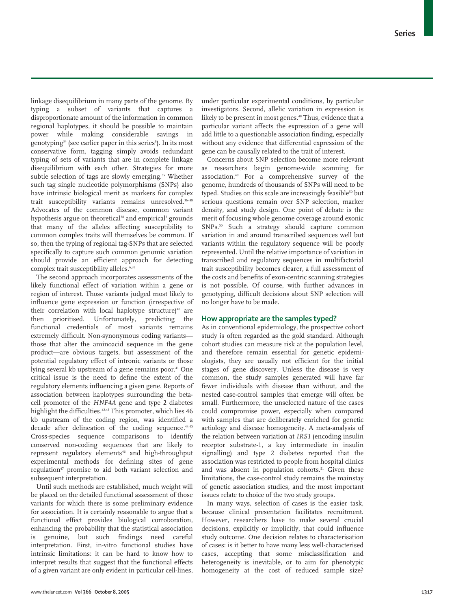linkage disequilibrium in many parts of the genome. By typing a subset of variants that captures a disproportionate amount of the information in common regional haplotypes, it should be possible to maintain power while making considerable savings in genotyping<sup>34</sup> (see earlier paper in this series<sup>9</sup>). In its most conservative form, tagging simply avoids redundant typing of sets of variants that are in complete linkage disequilibrium with each other. Strategies for more subtle selection of tags are slowly emerging.<sup>35</sup> Whether such tag single nucleotide polymorphisms (SNPs) also have intrinsic biological merit as markers for complex trait susceptibility variants remains unresolved.<sup>36-38</sup> Advocates of the common disease, common variant hypothesis argue on theoretical<sup>38</sup> and empirical<sup>2</sup> grounds that many of the alleles affecting susceptibility to common complex traits will themselves be common. If so, then the typing of regional tag-SNPs that are selected specifically to capture such common genomic variation should provide an efficient approach for detecting complex trait susceptibility alleles.<sup>6,39</sup>

The second approach incorporates assessments of the likely functional effect of variation within a gene or region of interest. Those variants judged most likely to influence gene expression or function (irrespective of their correlation with local haplotype structure)<sup>40</sup> are then prioritised. Unfortunately, predicting the functional credentials of most variants remains extremely difficult. Non-synonymous coding variants those that alter the aminoacid sequence in the gene product—are obvious targets, but assessment of the potential regulatory effect of intronic variants or those lying several kb upstream of a gene remains poor.<sup>41</sup> One critical issue is the need to define the extent of the regulatory elements influencing a given gene. Reports of association between haplotypes surrounding the betacell promoter of the *HNF4A* gene and type 2 diabetes highlight the difficulties.<sup>42,43</sup> This promoter, which lies 46 kb upstream of the coding region, was identified a decade after delineation of the coding sequence.<sup>44,45</sup> Cross-species sequence comparisons to identify conserved non-coding sequences that are likely to represent regulatory elements<sup>46</sup> and high-throughput experimental methods for defining sites of gene regulation<sup>47</sup> promise to aid both variant selection and subsequent interpretation.

Until such methods are established, much weight will be placed on the detailed functional assessment of those variants for which there is some preliminary evidence for association. It is certainly reasonable to argue that a functional effect provides biological corroboration, enhancing the probability that the statistical association is genuine, but such findings need careful interpretation. First, in-vitro functional studies have intrinsic limitations: it can be hard to know how to interpret results that suggest that the functional effects of a given variant are only evident in particular cell-lines, under particular experimental conditions, by particular investigators. Second, allelic variation in expression is likely to be present in most genes.<sup>48</sup> Thus, evidence that a particular variant affects the expression of a gene will add little to a questionable association finding, especially without any evidence that differential expression of the gene can be causally related to the trait of interest.

Concerns about SNP selection become more relevant as researchers begin genome-wide scanning for association.49 For a comprehensive survey of the genome, hundreds of thousands of SNPs will need to be typed. Studies on this scale are increasingly feasible<sup>50</sup> but serious questions remain over SNP selection, marker density, and study design. One point of debate is the merit of focusing whole genome coverage around exonic SNPs.<sup>50</sup> Such a strategy should capture common variation in and around transcribed sequences well but variants within the regulatory sequence will be poorly represented. Until the relative importance of variation in transcribed and regulatory sequences in multifactorial trait susceptibility becomes clearer, a full assessment of the costs and benefits of exon-centric scanning strategies is not possible. Of course, with further advances in genotyping, difficult decisions about SNP selection will no longer have to be made.

#### **How appropriate are the samples typed?**

As in conventional epidemiology, the prospective cohort study is often regarded as the gold standard. Although cohort studies can measure risk at the population level, and therefore remain essential for genetic epidemiologists, they are usually not efficient for the initial stages of gene discovery. Unless the disease is very common, the study samples generated will have far fewer individuals with disease than without, and the nested case-control samples that emerge will often be small. Furthermore, the unselected nature of the cases could compromise power, especially when compared with samples that are deliberately enriched for genetic aetiology and disease homogeneity. A meta-analysis of the relation between variation at *IRS1* (encoding insulin receptor substrate-1, a key intermediate in insulin signalling) and type 2 diabetes reported that the association was restricted to people from hospital clinics and was absent in population cohorts.<sup>51</sup> Given these limitations, the case-control study remains the mainstay of genetic association studies, and the most important issues relate to choice of the two study groups.

In many ways, selection of cases is the easier task, because clinical presentation facilitates recruitment. However, researchers have to make several crucial decisions, explicitly or implicitly, that could influence study outcome. One decision relates to characterisation of cases: is it better to have many less well-characterised cases, accepting that some misclassification and heterogeneity is inevitable, or to aim for phenotypic homogeneity at the cost of reduced sample size?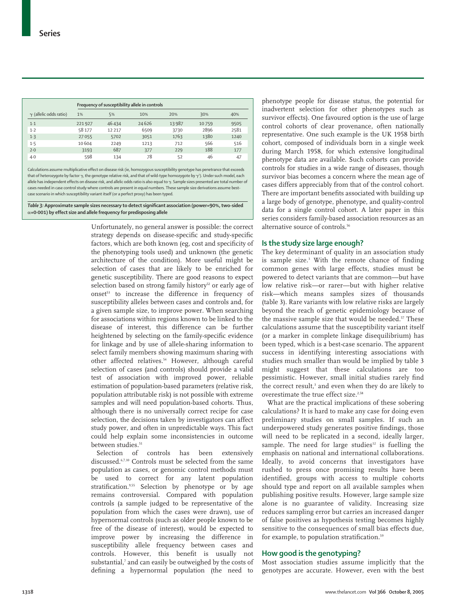|                               | Frequency of susceptibility allele in controls |        |       |       |       |      |  |
|-------------------------------|------------------------------------------------|--------|-------|-------|-------|------|--|
| $\gamma$ (allelic odds ratio) | 1%                                             | 5%     | 10%   | 20%   | 30%   | 40%  |  |
| $1-1$                         | 221927                                         | 46434  | 24626 | 13987 | 10759 | 9505 |  |
| $1-2$                         | 58 177                                         | 12 217 | 6509  | 3730  | 2896  | 2581 |  |
| 1.3                           | 27055                                          | 5702   | 3051  | 1763  | 1380  | 1240 |  |
| 1.5                           | 10604                                          | 2249   | 1213  | 712   | 566   | 516  |  |
| 2.0                           | 3193                                           | 687    | 377   | 229   | 188   | 177  |  |
| $4-0$                         | 598                                            | 134    | 78    | 52    | 46    | 47   |  |

Calculations assume multiplicative effect on disease risk (ie, homozygous susceptibility genotype has penetrance that exceeds that of heterozygote by factor  $\gamma$ , the genotype relative risk, and that of wild-type homozygote by  $\gamma^2$ ). Under such model, each allele has independent effects on disease risk, and allelic odds ratio is also equal to  $\gamma$ . Sample sizes presented are total number of cases needed in case control study where controls are present in equal numbers. These sample size derivations assume bestcase scenario in which susceptibility variant itself (or a perfect proxy) has been typed.

*Table 3:* **Approximate sample sizes necessary to detect significant association (power=90%, two-sided =0·001) by effect size and allele frequency for predisposing allele**

> Unfortunately, no general answer is possible: the correct strategy depends on disease-specific and study-specific factors, which are both known (eg, cost and specificity of the phenotyping tools used) and unknown (the genetic architecture of the condition). More useful might be selection of cases that are likely to be enriched for genetic susceptibility. There are good reasons to expect selection based on strong family history<sup>52</sup> or early age of onset<sup>53</sup> to increase the difference in frequency of susceptibility alleles between cases and controls and, for a given sample size, to improve power. When searching for associations within regions known to be linked to the disease of interest, this difference can be further heightened by selecting on the family-specific evidence for linkage and by use of allele-sharing information to select family members showing maximum sharing with other affected relatives.<sup>54</sup> However, although careful selection of cases (and controls) should provide a valid test of association with improved power, reliable estimation of population-based parameters (relative risk, population attributable risk) is not possible with extreme samples and will need population-based cohorts. Thus, although there is no universally correct recipe for case selection, the decisions taken by investigators can affect study power, and often in unpredictable ways. This fact could help explain some inconsistencies in outcome between studies.<sup>51</sup>

> Selection of controls has been extensively discussed.6,7,10 Controls must be selected from the same population as cases, or genomic control methods must be used to correct for any latent population stratification.<sup>9,55</sup> Selection by phenotype or by age remains controversial. Compared with population controls (a sample judged to be representative of the population from which the cases were drawn), use of hypernormal controls (such as older people known to be free of the disease of interest), would be expected to improve power by increasing the difference in susceptibility allele frequency between cases and controls. However, this benefit is usually not substantial,7 and can easily be outweighed by the costs of defining a hypernormal population (the need to

phenotype people for disease status, the potential for inadvertent selection for other phenotypes such as survivor effects). One favoured option is the use of large control cohorts of clear provenance, often nationally representative. One such example is the UK 1958 birth cohort, composed of individuals born in a single week during March 1958, for which extensive longitudinal phenotype data are available. Such cohorts can provide controls for studies in a wide range of diseases, though survivor bias becomes a concern where the mean age of cases differs appreciably from that of the control cohort. There are important benefits associated with building up a large body of genotype, phenotype, and quality-control data for a single control cohort. A later paper in this series considers family-based association resources as an alternative source of controls.<sup>56</sup>

## **Is the study size large enough?**

The key determinant of quality in an association study is sample size.<sup>3</sup> With the remote chance of finding common genes with large effects, studies must be powered to detect variants that are common—but have low relative risk—or rarer—but with higher relative risk—which means samples sizes of thousands (table 3). Rare variants with low relative risks are largely beyond the reach of genetic epidemiology because of the massive sample size that would be needed.<sup>57</sup> These calculations assume that the susceptibility variant itself (or a marker in complete linkage disequilibrium) has been typed, which is a best-case scenario. The apparent success in identifying interesting associations with studies much smaller than would be implied by table 3 might suggest that these calculations are too pessimistic. However, small initial studies rarely find the correct result, $3$  and even when they do are likely to overestimate the true effect size.<sup>2,58</sup>

What are the practical implications of these sobering calculations? It is hard to make any case for doing even preliminary studies on small samples. If such an underpowered study generates positive findings, those will need to be replicated in a second, ideally larger, sample. The need for large studies $12$  is fuelling the emphasis on national and international collaborations. Ideally, to avoid concerns that investigators have rushed to press once promising results have been identified, groups with access to multiple cohorts should type and report on all available samples when publishing positive results. However, large sample size alone is no guarantee of validity. Increasing size reduces sampling error but carries an increased danger of false positives as hypothesis testing becomes highly sensitive to the consequences of small bias effects due, for example, to population stratification.<sup>59</sup>

## **How good is the genotyping?**

Most association studies assume implicitly that the genotypes are accurate. However, even with the best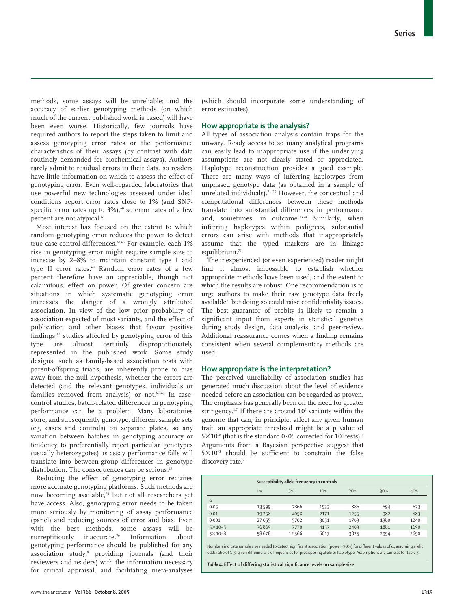methods, some assays will be unreliable; and the accuracy of earlier genotyping methods (on which much of the current published work is based) will have been even worse. Historically, few journals have required authors to report the steps taken to limit and assess genotyping error rates or the performance characteristics of their assays (by contrast with data routinely demanded for biochemical assays). Authors rarely admit to residual errors in their data, so readers have little information on which to assess the effect of genotyping error. Even well-regarded laboratories that use powerful new technologies assessed under ideal conditions report error rates close to 1% (and SNPspecific error rates up to  $3\%$ ),<sup>60</sup> so error rates of a few percent are not atypical.<sup>61</sup>

Most interest has focused on the extent to which random genotyping error reduces the power to detect true case-control differences.62,63 For example, each 1% rise in genotyping error might require sample size to increase by 2–8% to maintain constant type I and type II error rates.<sup>63</sup> Random error rates of a few percent therefore have an appreciable, though not calamitous, effect on power. Of greater concern are situations in which systematic genotyping error increases the danger of a wrongly attributed association. In view of the low prior probability of association expected of most variants, and the effect of publication and other biases that favour positive findings,<sup>64</sup> studies affected by genotyping error of this type are almost certainly disproportionately represented in the published work. Some study designs, such as family-based association tests with parent-offspring triads, are inherently prone to bias away from the null hypothesis, whether the errors are detected (and the relevant genotypes, individuals or families removed from analysis) or not.<sup>65-67</sup> In casecontrol studies, batch-related differences in genotyping performance can be a problem. Many laboratories store, and subsequently genotype, different sample sets (eg, cases and controls) on separate plates, so any variation between batches in genotyping accuracy or tendency to preferentially reject particular genotypes (usually heterozygotes) as assay performance falls will translate into between-group differences in genotype distribution. The consequences can be serious.<sup>68</sup>

Reducing the effect of genotyping error requires more accurate genotyping platforms. Such methods are now becoming available,<sup>69</sup> but not all researchers yet have access. Also, genotyping error needs to be taken more seriously by monitoring of assay performance (panel) and reducing sources of error and bias. Even with the best methods, some assays will be surreptitiously inaccurate.<sup>70</sup> Information about genotyping performance should be published for any association study,<sup>8</sup> providing journals (and their reviewers and readers) with the information necessary for critical appraisal, and facilitating meta-analyses

(which should incorporate some understanding of error estimates).

## **How appropriate is the analysis?**

All types of association analysis contain traps for the unwary. Ready access to so many analytical programs can easily lead to inappropriate use if the underlying assumptions are not clearly stated or appreciated. Haplotype reconstruction provides a good example. There are many ways of inferring haplotypes from unphased genotype data (as obtained in a sample of unrelated individuals).71–75 However, the conceptual and computational differences between these methods translate into substantial differences in performance and, sometimes, in outcome.73,74 Similarly, when inferring haplotypes within pedigrees, substantial errors can arise with methods that inappropriately assume that the typed markers are in linkage equilibrium.76

The inexperienced (or even experienced) reader might find it almost impossible to establish whether appropriate methods have been used, and the extent to which the results are robust. One recommendation is to urge authors to make their raw genotype data freely available<sup>77</sup> but doing so could raise confidentiality issues. The best guarantor of probity is likely to remain a significant input from experts in statistical genetics during study design, data analysis, and peer-review. Additional reassurance comes when a finding remains consistent when several complementary methods are used.

#### **How appropriate is the interpretation?**

The perceived unreliability of association studies has generated much discussion about the level of evidence needed before an association can be regarded as proven. The emphasis has generally been on the need for greater stringency.<sup>1,7</sup> If there are around 10<sup>6</sup> variants within the genome that can, in principle, affect any given human trait, an appropriate threshold might be a p value of  $5\times10^{-8}$  (that is the standard 0.05 corrected for 10<sup>6</sup> tests).<sup>1</sup> Arguments from a Bayesian perspective suggest that  $5\times10^{-5}$  should be sufficient to constrain the false discovery rate.<sup>7</sup>

|                   | Susceptibility allele frequency in controls |         |      |      |      |      |  |
|-------------------|---------------------------------------------|---------|------|------|------|------|--|
|                   | 1%                                          | 5%      | 10%  | 20%  | 30%  | 40%  |  |
| $\alpha$          |                                             |         |      |      |      |      |  |
| 0.05              | 13599                                       | 2866    | 1533 | 886  | 694  | 623  |  |
| 0.01              | 19258                                       | 4058    | 2171 | 1255 | 982  | 883  |  |
| 0.001             | 27055                                       | 5702    | 3051 | 1763 | 1380 | 1240 |  |
| $5 \times 10 - 5$ | 36869                                       | 7770    | 4157 | 2403 | 1881 | 1690 |  |
| $5\times10-8$     | 58678                                       | 12 3 66 | 6617 | 3825 | 2994 | 2690 |  |

Numbers indicate sample size needed to detect significant association (power=90%) for different values of  $\alpha$ , assuming allelic odds ratio of 1·3, given differing allele frequencies for predisposing allele or haplotype. Assumptions are same as for table 3.

*Table 4:* **Effect of differing statistical significance levels on sample size**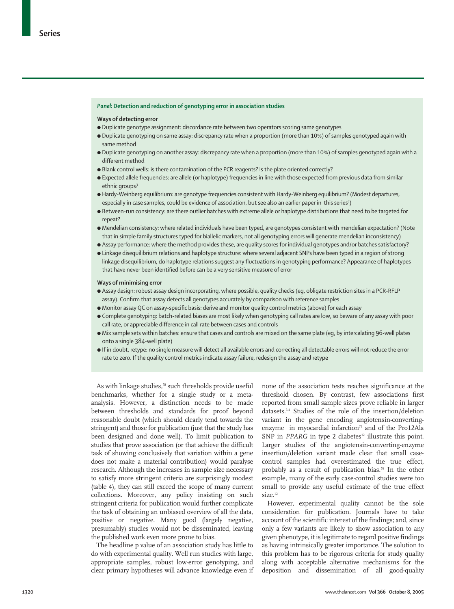#### *Panel:* **Detection and reduction of genotyping error in association studies**

#### **Ways of detecting error**

- Duplicate genotype assignment: discordance rate between two operators scoring same genotypes
- Duplicate genotyping on same assay: discrepancy rate when a proportion (more than 10%) of samples genotyped again with same method
- Duplicate genotyping on another assay: discrepancy rate when a proportion (more than 10%) of samples genotyped again with a different method
- Blank control wells: is there contamination of the PCR reagents? Is the plate oriented correctly?
- Expected allele frequencies: are allele (or haplotype) frequencies in line with those expected from previous data from similar ethnic groups?
- Hardy-Weinberg equilibrium: are genotype frequencies consistent with Hardy-Weinberg equilibrium? (Modest departures, especially in case samples, could be evidence of association, but see also an earlier paper in this series<sup>9</sup>)
- Between-run consistency: are there outlier batches with extreme allele or haplotype distributions that need to be targeted for repeat?
- Mendelian consistency: where related individuals have been typed, are genotypes consistent with mendelian expectation? (Note that in simple family structures typed for biallelic markers, not all genotyping errors will generate mendelian inconsistency)
- Assay performance: where the method provides these, are quality scores for individual genotypes and/or batches satisfactory?
- Linkage disequilibrium relations and haplotype structure: where several adjacent SNPs have been typed in a region of strong linkage disequilibrium, do haplotype relations suggest any fluctuations in genotyping performance? Appearance of haplotypes that have never been identified before can be a very sensitive measure of error

#### **Ways of minimising error**

- Assay design: robust assay design incorporating, where possible, quality checks (eg, obligate restriction sites in a PCR-RFLP assay). Confirm that assay detects all genotypes accurately by comparison with reference samples
- Monitor assay QC on assay-specific basis: derive and monitor quality control metrics (above) for each assay
- Complete genotyping: batch-related biases are most likely when genotyping call rates are low, so beware of any assay with poor call rate, or appreciable difference in call rate between cases and controls
- Mix sample sets within batches: ensure that cases and controls are mixed on the same plate (eg, by intercalating 96-well plates onto a single 384-well plate)
- If in doubt, retype: no single measure will detect all available errors and correcting all detectable errors will not reduce the error rate to zero. If the quality control metrics indicate assay failure, redesign the assay and retype

As with linkage studies,<sup>78</sup> such thresholds provide useful benchmarks, whether for a single study or a metaanalysis. However, a distinction needs to be made between thresholds and standards for proof beyond reasonable doubt (which should clearly tend towards the stringent) and those for publication (just that the study has been designed and done well). To limit publication to studies that prove association (or that achieve the difficult task of showing conclusively that variation within a gene does not make a material contribution) would paralyse research. Although the increases in sample size necessary to satisfy more stringent criteria are surprisingly modest (table 4), they can still exceed the scope of many current collections. Moreover, any policy insisting on such stringent criteria for publication would further complicate the task of obtaining an unbiased overview of all the data, positive or negative. Many good (largely negative, presumably) studies would not be disseminated, leaving the published work even more prone to bias.

The headline p value of an association study has little to do with experimental quality. Well run studies with large, appropriate samples, robust low-error genotyping, and clear primary hypotheses will advance knowledge even if

none of the association tests reaches significance at the threshold chosen. By contrast, few associations first reported from small sample sizes prove reliable in larger datasets.3,4 Studies of the role of the insertion/deletion variant in the gene encoding angiotensin-convertingenzyme in myocardial infarction<sup>79</sup> and of the Pro12Ala SNP in *PPARG* in type 2 diabetes<sup>12</sup> illustrate this point. Larger studies of the angiotensin-converting-enzyme insertion/deletion variant made clear that small casecontrol samples had overestimated the true effect, probably as a result of publication bias.79 In the other example, many of the early case-control studies were too small to provide any useful estimate of the true effect size.<sup>12</sup>

However, experimental quality cannot be the sole consideration for publication. Journals have to take account of the scientific interest of the findings; and, since only a few variants are likely to show association to any given phenotype, it is legitimate to regard positive findings as having intrinsically greater importance. The solution to this problem has to be rigorous criteria for study quality along with acceptable alternative mechanisms for the deposition and dissemination of all good-quality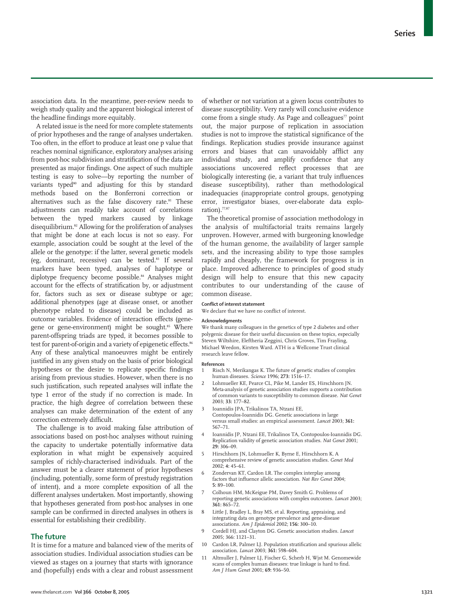association data. In the meantime, peer-review needs to weigh study quality and the apparent biological interest of the headline findings more equitably.

A related issue is the need for more complete statements of prior hypotheses and the range of analyses undertaken. Too often, in the effort to produce at least one p value that reaches nominal significance, exploratory analyses arising from post-hoc subdivision and stratification of the data are presented as major findings. One aspect of such multiple testing is easy to solve—by reporting the number of variants typed<sup>80</sup> and adjusting for this by standard methods based on the Bonferroni correction or alternatives such as the false discovery rate.<sup>81</sup> These adjustments can readily take account of correlations between the typed markers caused by linkage disequilibrium.82 Allowing for the proliferation of analyses that might be done at each locus is not so easy. For example, association could be sought at the level of the allele or the genotype: if the latter, several genetic models (eg, dominant, recessive) can be tested.83 If several markers have been typed, analyses of haplotype or diplotype frequency become possible.<sup>84</sup> Analyses might account for the effects of stratification by, or adjustment for, factors such as sex or disease subtype or age; additional phenotypes (age at disease onset, or another phenotype related to disease) could be included as outcome variables. Evidence of interaction effects (genegene or gene-environment) might be sought.<sup>85</sup> Where parent-offspring triads are typed, it becomes possible to test for parent-of-origin and a variety of epigenetic effects.<sup>86</sup> Any of these analytical manoeuvres might be entirely justified in any given study on the basis of prior biological hypotheses or the desire to replicate specific findings arising from previous studies. However, when there is no such justification, such repeated analyses will inflate the type 1 error of the study if no correction is made. In practice, the high degree of correlation between these analyses can make determination of the extent of any correction extremely difficult.

The challenge is to avoid making false attribution of associations based on post-hoc analyses without ruining the capacity to undertake potentially informative data exploration in what might be expensively acquired samples of richly-characterised individuals. Part of the answer must be a clearer statement of prior hypotheses (including, potentially, some form of prestudy registration of intent), and a more complete exposition of all the different analyses undertaken. Most importantly, showing that hypotheses generated from post-hoc analyses in one sample can be confirmed in directed analyses in others is essential for establishing their credibility.

## **The future**

It is time for a mature and balanced view of the merits of association studies. Individual association studies can be viewed as stages on a journey that starts with ignorance and (hopefully) ends with a clear and robust assessment of whether or not variation at a given locus contributes to disease susceptibility. Very rarely will conclusive evidence come from a single study. As Page and colleagues<sup>77</sup> point out, the major purpose of replication in association studies is not to improve the statistical significance of the findings. Replication studies provide insurance against errors and biases that can unavoidably afflict any individual study, and amplify confidence that any associations uncovered reflect processes that are biologically interesting (ie, a variant that truly influences disease susceptibility), rather than methodological inadequacies (inappropriate control groups, genotyping error, investigator biases, over-elaborate data exploration).77,87

The theoretical promise of association methodology in the analysis of multifactorial traits remains largely unproven. However, armed with burgeoning knowledge of the human genome, the availability of larger sample sets, and the increasing ability to type those samples rapidly and cheaply, the framework for progress is in place. Improved adherence to principles of good study design will help to ensure that this new capacity contributes to our understanding of the cause of common disease.

#### **Conflict of interest statement**

We declare that we have no conflict of interest.

#### **Acknowledgments**

We thank many colleagues in the genetics of type 2 diabetes and other polygenic disease for their useful discussion on these topics, especially Steven Wiltshire, Eleftheria Zeggini, Chris Groves, Tim Frayling, Michael Weedon, Kirsten Ward. ATH is a Wellcome Trust clinical research leave fellow.

#### **References**

- 1 Risch N, Merikangas K. The future of genetic studies of complex human diseases. *Science* 1996; **273:** 1516–17.
- 2 Lohmueller KE, Pearce CL, Pike M, Lander ES, Hirschhorn JN. Meta-analysis of genetic association studies supports a contribution of common variants to susceptibility to common disease. *Nat Genet* 2003; **33:** 177–82.
- 3 Ioannidis JPA, Trikalinos TA, Ntzani EE, Contopoulos-Ioannidis DG. Genetic associations in large versus small studies: an empirical assessment. *Lancet* 2003; **361:** 567–71.
- 4 Ioannidis JP, Ntzani EE, Trikalinos TA, Contopoulos-Ioannidis DG. Replication validity of genetic association studies. *Nat Genet* 2001; **29:** 306–09.
- 5 Hirschhorn JN, Lohmueller K, Byrne E, Hirschhorn K. A comprehensive review of genetic association studies. *Genet Med* 2002; **4:** 45–61.
- Zondervan KT, Cardon LR. The complex interplay among factors that influence allelic association. *Nat Rev Genet* 2004; **5:** 89–100.
- 7 Colhoun HM, McKeigue PM, Davey Smith G. Problems of reporting genetic associations with complex outcomes. *Lancet* 2003; **361:** 865–72.
- 8 Little J, Bradley L, Bray MS, et al. Reporting, appraising, and integrating data on genotype prevalence and gene-disease associations. *Am J Epidemiol* 2002; **156:** 300–10.
- 9 Cordell HJ, and Clayton DG. Genetic association studies. *Lancet* 2005; 366: 1121–31.
- 10 Cardon LR, Palmer LJ. Population stratification and spurious allelic association. *Lancet* 2003; **361:** 598–604.
- 11 Altmuller J, Palmer LJ, Fischer G, Scherb H, Wjst M. Genomewide scans of complex human diseases: true linkage is hard to find. *Am J Hum Genet* 2001; **69:** 936–50.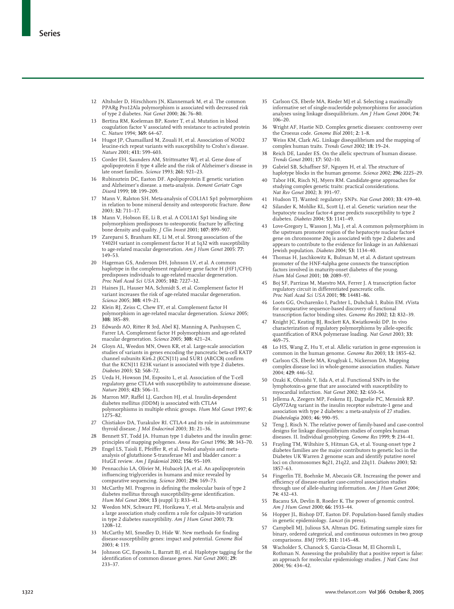- 12 Altshuler D, Hirschhorn JN, Klannemark M, et al. The common PPARg Pro12Ala polymorphism is associated with decreased risk of type 2 diabetes. *Nat Genet* 2000; **26:** 76–80.
- 13 Bertina RM, Koeleman BP, Koster T, et al. Mutation in blood coagulation factor V associated with resistance to activated protein C. *Nature* 1994; **369:** 64–67.
- 14 Hugot JP, Chamaillard M, Zouali H, et al. Association of NOD2 leucine-rich repeat variants with susceptibility to Crohn's disease. *Nature* 2001; **411:** 599–603.
- 15 Corder EH, Saunders AM, Strittmatter WJ, et al. Gene dose of apolipoprotein E type 4 allele and the risk of Alzheimer's disease in late onset families. *Science* 1993; **261:** 921–23.
- 16 Rubinsztein DC, Easton DF. Apolipoprotein E genetic variation and Alzheimer's disease. a meta-analysis. *Dement Geriatr Cogn Disord* 1999; **10:** 199–209.
- 17 Mann V, Ralston SH. Meta-analysis of COL1A1 Sp1 polymorphism in relation to bone mineral density and osteoporotic fracture. *Bone* 2003; **32:** 711–17.
- 18 Mann V, Hobson EE, Li B, et al. A COL1A1 Sp1 binding site polymorphism predisposes to osteoporotic fracture by affecting bone density and quality. *J Clin Invest* 2001; **107:** 899–907.
- 19 Zareparsi S, Branham KE, Li M, et al. Strong association of the Y402H variant in complement factor H at 1q32 with susceptibility to age-related macular degeneration. *Am J Hum Genet* 2005: **77:** 149–53.
- 20 Hageman GS, Anderson DH, Johnson LV, et al. A common haplotype in the complement regulatory gene factor H (HF1/CFH) predisposes individuals to age-related macular degeneration. *Proc Natl Acad Sci USA* 2005; **102:** 7227–32.
- 21 Haines JL, Hauser MA, Schmidt S, et al. Complement factor H variant increases the risk of age-related macular degeneration. *Science* 2005; **308:** 419–21.
- 22 Klein RJ, Zeiss C, Chew EY, et al. Complement factor H polymorphism in age-related macular degeneration. *Science* 2005; **308:** 385–89.
- 23 Edwards AO, Ritter R 3rd, Abel KJ, Manning A, Panhuysen C, Farrer LA. Complement factor H polymorphism and age-related macular degeneration. *Science* 2005; **308:** 421–24.
- Gloyn AL, Weedon MN, Owen KR, et al. Large-scale association studies of variants in genes encoding the pancreatic beta-cell KATP channel subunits Kir6.2 (KCNJ11) and SUR1 (ABCC8) confirm that the KCNJ11 E23K variant is associated with type 2 diabetes. *Diabetes* 2003; **52:** 568–72.
- 25 Ueda H, Howson JM, Esposito L, et al. Association of the T-cell regulatory gene CTLA4 with susceptibility to autoimmune disease. *Nature* 2003; **423:** 506–11.
- 26 Marron MP, Raffel LJ, Garchon HJ, et al. Insulin-dependent diabetes mellitus (IDDM) is associated with CTLA4 polymorphisms in multiple ethnic groups. *Hum Mol Genet* 1997; **6:** 1275–82.
- 27 Chistiakov DA, Turakulov RI. CTLA-4 and its role in autoimmune thyroid disease. *J Mol Endocrinol* 2003; **31:** 21–36.
- 28 Bennett ST, Todd JA. Human type 1 diabetes and the insulin gene: principles of mapping polygenes. *Annu Rev Genet* 1996; **30:** 343–70.
- 29 Engel LS, Taioli E, Pfeiffer R, et al. Pooled analysis and metaanalysis of glutathione S-transferase M1 and bladder cancer: a HuGE review. *Am J Epidemiol* 2002; **156:** 95–109.
- 30 Pennacchio LA, Olivier M, Hubacek JA, et al. An apolipoprotein influencing triglycerides in humans and mice revealed by comparative sequencing. *Science* 2001; **294:** 169–73.
- 31 McCarthy MI. Progress in defining the molecular basis of type 2 diabetes mellitus through susceptibility-gene identification. *Hum Mol Genet* 2004; **13** (suppl 1)**:** R33–41.
- 32 Weedon MN, Schwarz PE, Horikawa Y, et al. Meta-analysis and a large association study confirm a role for calpain-10 variation in type 2 diabetes susceptibility. *Am J Hum Genet* 2003; **73:** 1208–12.
- 33 McCarthy MI, Smedley D, Hide W. New methods for finding disease-susceptibility genes: impact and potential. *Genome Biol* 2003; **4:** 119.
- 34 Johnson GC, Esposito L, Barratt BJ, et al. Haplotype tagging for the identification of common disease genes. *Nat Genet* 2001; **29:** 233–37.
- 35 Carlson CS, Eberle MA, Rieder MJ et al. Selecting a maximally informative set of single-nucleotide polymorphisms for association analyses using linkage disequilibrium. *Am J Hum Genet* 2004; **74:** 106–20.
- 36 Wright AF, Hastie ND. Complex genetic diseases: controversy over the Croesus code. *Genome Biol* 2001; **2:** 1–8.
- 37 Weiss KM, Clark AG. Linkage disequilibrium and the mapping of complex human traits. *Trends Genet* 2002; **18:** 19–24.
- 38 Reich DE, Lander ES. On the allelic spectrum of human disease. *Trends Genet* 2001; **17:** 502–10.
- 39 Gabriel SB, Schaffner SF, Nguyen H, et al. The structure of haplotype blocks in the human genome. *Science* 2002; **296:** 2225–29.
- 40 Tabor HK, Risch NJ, Myers RM. Candidate-gene approaches for studying complex genetic traits: practical considerations. *Nat Rev Genet* 2002; **3:** 391–97.
- 41 Hudson TJ. Wanted: regulatory SNPs. *Nat Genet* 2003; **33:** 439–40.
- 42 Silander K, Mohlke KL, Scott LJ, et al. Genetic variation near the hepatocyte nuclear factor-4 gene predicts susceptibility to type 2 diabetes. *Diabetes* 2004; **53:** 1141–49.
- 43 Love-Gregory L, Wasson J, Ma J, et al. A common polymorphism in the upstream promoter region of the hepatocyte nuclear factor4 gene on chromosome 20q is associated with type 2 diabetes and appears to contribute to the evidence for linkage in an Ashkenazi Jewish population. *Diabetes* 2004; **53:** 1134–40.
- Thomas H, Jaschkowitz K, Bulman M, et al. A distant upstream promoter of the HNF-4alpha gene connects the transcription factors involved in maturity-onset diabetes of the young. *Hum Mol Genet* 2001; **10:** 2089–97.
- 45 Boj SF, Parrizas M, Maestro MA, Ferrer J. A transcription factor regulatory circuit in differentiated pancreatic cells. *Proc Natl Acad Sci USA* 2001; **98:** 14481–86.
- 46 Loots GG, Ovcharenko I, Pachter L, Dubchak I, Rubin EM. rVista for comparative sequence-based discovery of functional transcription factor binding sites. *Genome Res* 2002; **12:** 832–39.
- 47 Knight JC, Keating BJ, Rockett KA, Kwiatkowski DP. In vivo characterization of regulatory polymorphisms by allele-specific quantification of RNA polymerase loading. *Nat Genet* 2003; **33:** 469–75.
- 48 Lo HS, Wang Z, Hu Y, et al. Allelic variation in gene expression is common in the human genome. *Genome Res* 2003; **13:** 1855–62.
- 49 Carlson CS, Eberle MA, Kruglyak L, Nickerson DA. Mapping complex disease loci in whole-genome association studies. *Nature* 2004; **429:** 446–52.
- 50 Ozaki K, Ohnishi Y, Iida A, et al. Functional SNPs in the lymphotoxin- $\alpha$  gene that are associated with susceptibility to myocardial infarction. *Nat Genet* 2002; **32:** 650–54.
- 51 Jellema A, Zeegers MP, Feskens EJ, Dagnelie PC, Mensink RP. Gly972Arg variant in the insulin receptor substrate-1 gene and association with type 2 diabetes: a meta-analysis of 27 studies. *Diabetologia* 2003; **46:** 990–95.
- 52 Teng J, Risch N. The relative power of family-based and case-control designs for linkage disequilibrium studies of complex human diseases. II. Individual genotyping. *Genome Res* 1999; **9:** 234–41.
- 53 Frayling TM, Wiltshire S, Hitman GA, et al. Young-onset type 2 diabetes families are the major contributors to genetic loci in the Diabetes UK Warren 2 genome scan and identify putative novel loci on chromosomes 8q21, 21q22, and 22q11. *Diabetes* 2003; **52:** 1857–63.
- 54 Fingerlin TE, Boehnke M, Abecasis GR. Increasing the power and efficiency of disease-marker case-control association studies through use of allele-sharing information. *Am J Hum Genet* 2004; **74:** 432–43.
- 55 Bacanu SA, Devlin B, Roeder K. The power of genomic control. *Am J Hum Genet* 2000; **66:** 1933–44.
- 56 Hopper JL, Bishop DT, Easton DF. Population-based family studies in genetic epidemiology. *Lancet* (in press).
- 57 Campbell MJ, Julious SA, Altman DG. Estimating sample sizes for binary, ordered categorical, and continuous outcomes in two group comparisons. *BMJ* 1995; **311:** 1145–48.
- 58 Wacholder S, Chanock S, Garcia-Closas M, El Ghormli L, Rothman N. Assessing the probability that a positive report is false: an approach for molecular epidemiology studies. *J Natl Canc Inst* 2004; 96: 434–42.